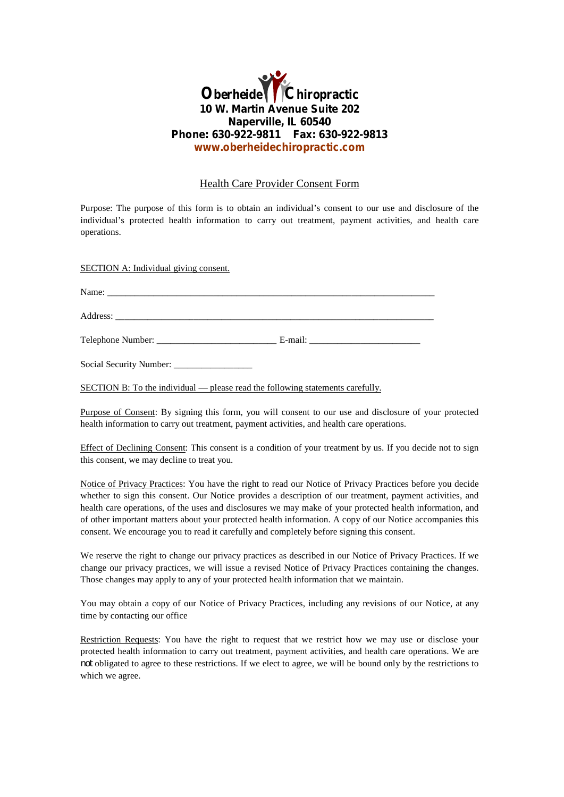## **Oberheide Chiropractic 10 W. Martin Avenue Suite 202 Naperville, IL 60540 Phone: 630-922-9811 Fax: 630-922-9813 [www.oberheidechiropractic.com](http://www.oberheidechiropractic.com)**

## Health Care Provider Consent Form

Purpose: The purpose of this form is to obtain an individual's consent to our use and disclosure of the individual's protected health information to carry out treatment, payment activities, and health care operations.

SECTION A: Individual giving consent.

| Name:<br><u> 1980 - Jan Barat, margaret al II-lea (b. 1980)</u> |         |
|-----------------------------------------------------------------|---------|
|                                                                 |         |
|                                                                 |         |
|                                                                 | E-mail: |

Social Security Number:

SECTION B: To the individual — please read the following statements carefully.

Purpose of Consent: By signing this form, you will consent to our use and disclosure of your protected health information to carry out treatment, payment activities, and health care operations.

Effect of Declining Consent: This consent is a condition of your treatment by us. If you decide not to sign this consent, we may decline to treat you.

Notice of Privacy Practices: You have the right to read our Notice of Privacy Practices before you decide whether to sign this consent. Our Notice provides a description of our treatment, payment activities, and health care operations, of the uses and disclosures we may make of your protected health information, and of other important matters about your protected health information. A copy of our Notice accompanies this consent. We encourage you to read it carefully and completely before signing this consent.

We reserve the right to change our privacy practices as described in our Notice of Privacy Practices. If we change our privacy practices, we will issue a revised Notice of Privacy Practices containing the changes. Those changes may apply to any of your protected health information that we maintain.

You may obtain a copy of our Notice of Privacy Practices, including any revisions of our Notice, at any time by contacting our office

Restriction Requests: You have the right to request that we restrict how we may use or disclose your protected health information to carry out treatment, payment activities, and health care operations. We are *not* obligated to agree to these restrictions. If we elect to agree, we will be bound only by the restrictions to which we agree.